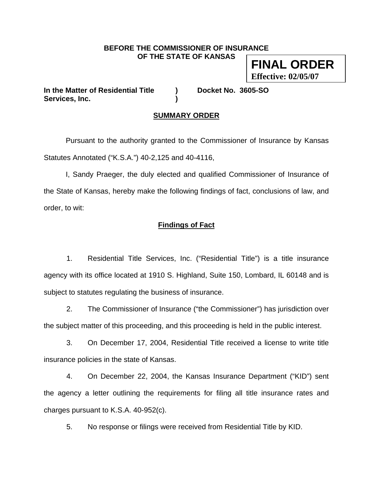#### **BEFORE THE COMMISSIONER OF INSURANCE OF THE STATE OF KANSAS**

**FINAL ORDER Effective: 02/05/07**

**In the Matter of Residential Title ) Docket No. 3605-SO Services, Inc. )** 

## **SUMMARY ORDER**

 Pursuant to the authority granted to the Commissioner of Insurance by Kansas Statutes Annotated ("K.S.A.") 40-2,125 and 40-4116,

 I, Sandy Praeger, the duly elected and qualified Commissioner of Insurance of the State of Kansas, hereby make the following findings of fact, conclusions of law, and order, to wit:

## **Findings of Fact**

1. Residential Title Services, Inc. ("Residential Title") is a title insurance agency with its office located at 1910 S. Highland, Suite 150, Lombard, IL 60148 and is subject to statutes regulating the business of insurance.

2. The Commissioner of Insurance ("the Commissioner") has jurisdiction over the subject matter of this proceeding, and this proceeding is held in the public interest.

3. On December 17, 2004, Residential Title received a license to write title insurance policies in the state of Kansas.

4. On December 22, 2004, the Kansas Insurance Department ("KID") sent the agency a letter outlining the requirements for filing all title insurance rates and charges pursuant to K.S.A. 40-952(c).

5. No response or filings were received from Residential Title by KID.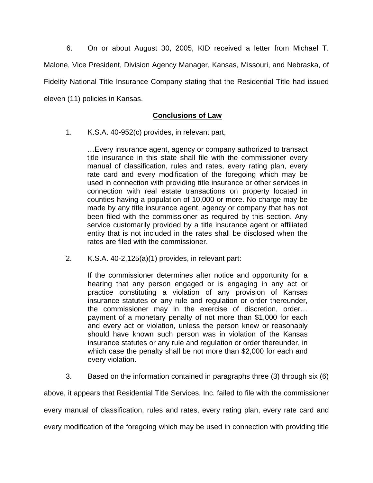6. On or about August 30, 2005, KID received a letter from Michael T. Malone, Vice President, Division Agency Manager, Kansas, Missouri, and Nebraska, of Fidelity National Title Insurance Company stating that the Residential Title had issued eleven (11) policies in Kansas.

## **Conclusions of Law**

1. K.S.A. 40-952(c) provides, in relevant part,

…Every insurance agent, agency or company authorized to transact title insurance in this state shall file with the commissioner every manual of classification, rules and rates, every rating plan, every rate card and every modification of the foregoing which may be used in connection with providing title insurance or other services in connection with real estate transactions on property located in counties having a population of 10,000 or more. No charge may be made by any title insurance agent, agency or company that has not been filed with the commissioner as required by this section. Any service customarily provided by a title insurance agent or affiliated entity that is not included in the rates shall be disclosed when the rates are filed with the commissioner.

2. K.S.A. 40-2,125(a)(1) provides, in relevant part:

If the commissioner determines after notice and opportunity for a hearing that any person engaged or is engaging in any act or practice constituting a violation of any provision of Kansas insurance statutes or any rule and regulation or order thereunder, the commissioner may in the exercise of discretion, order… payment of a monetary penalty of not more than \$1,000 for each and every act or violation, unless the person knew or reasonably should have known such person was in violation of the Kansas insurance statutes or any rule and regulation or order thereunder, in which case the penalty shall be not more than \$2,000 for each and every violation.

3. Based on the information contained in paragraphs three (3) through six (6)

above, it appears that Residential Title Services, Inc. failed to file with the commissioner every manual of classification, rules and rates, every rating plan, every rate card and every modification of the foregoing which may be used in connection with providing title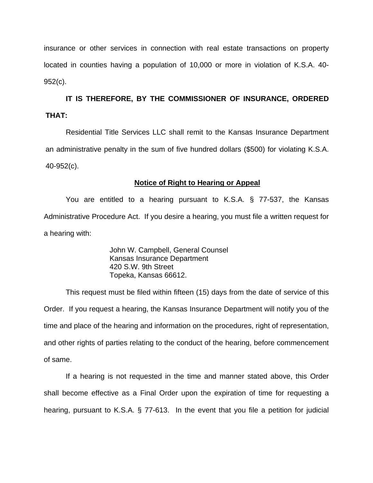insurance or other services in connection with real estate transactions on property located in counties having a population of 10,000 or more in violation of K.S.A. 40- 952(c).

**IT IS THEREFORE, BY THE COMMISSIONER OF INSURANCE, ORDERED THAT:** 

Residential Title Services LLC shall remit to the Kansas Insurance Department an administrative penalty in the sum of five hundred dollars (\$500) for violating K.S.A. 40-952(c).

### **Notice of Right to Hearing or Appeal**

You are entitled to a hearing pursuant to K.S.A. § 77-537, the Kansas Administrative Procedure Act. If you desire a hearing, you must file a written request for a hearing with:

> John W. Campbell, General Counsel Kansas Insurance Department 420 S.W. 9th Street Topeka, Kansas 66612.

This request must be filed within fifteen (15) days from the date of service of this Order. If you request a hearing, the Kansas Insurance Department will notify you of the time and place of the hearing and information on the procedures, right of representation, and other rights of parties relating to the conduct of the hearing, before commencement of same.

If a hearing is not requested in the time and manner stated above, this Order shall become effective as a Final Order upon the expiration of time for requesting a hearing, pursuant to K.S.A. § 77-613. In the event that you file a petition for judicial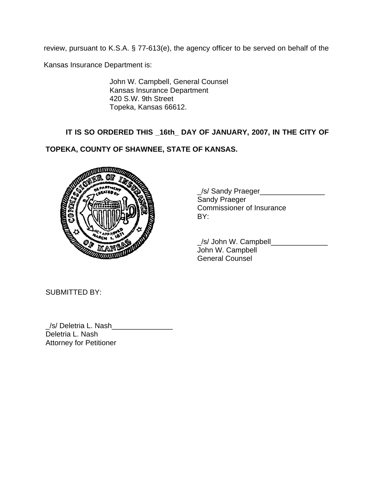review, pursuant to K.S.A. § 77-613(e), the agency officer to be served on behalf of the

Kansas Insurance Department is:

John W. Campbell, General Counsel Kansas Insurance Department 420 S.W. 9th Street Topeka, Kansas 66612.

# **IT IS SO ORDERED THIS \_16th\_ DAY OF JANUARY, 2007, IN THE CITY OF**

## **TOPEKA, COUNTY OF SHAWNEE, STATE OF KANSAS.**



 \_/s/ Sandy Praeger\_\_\_\_\_\_\_\_\_\_\_\_\_\_\_\_ Sandy Praeger Commissioner of Insurance

 \_/s/ John W. Campbell\_\_\_\_\_\_\_\_\_\_\_\_\_\_ John W. Campbell General Counsel

SUBMITTED BY:

/s/ Deletria L. Nash Deletria L. Nash Attorney for Petitioner